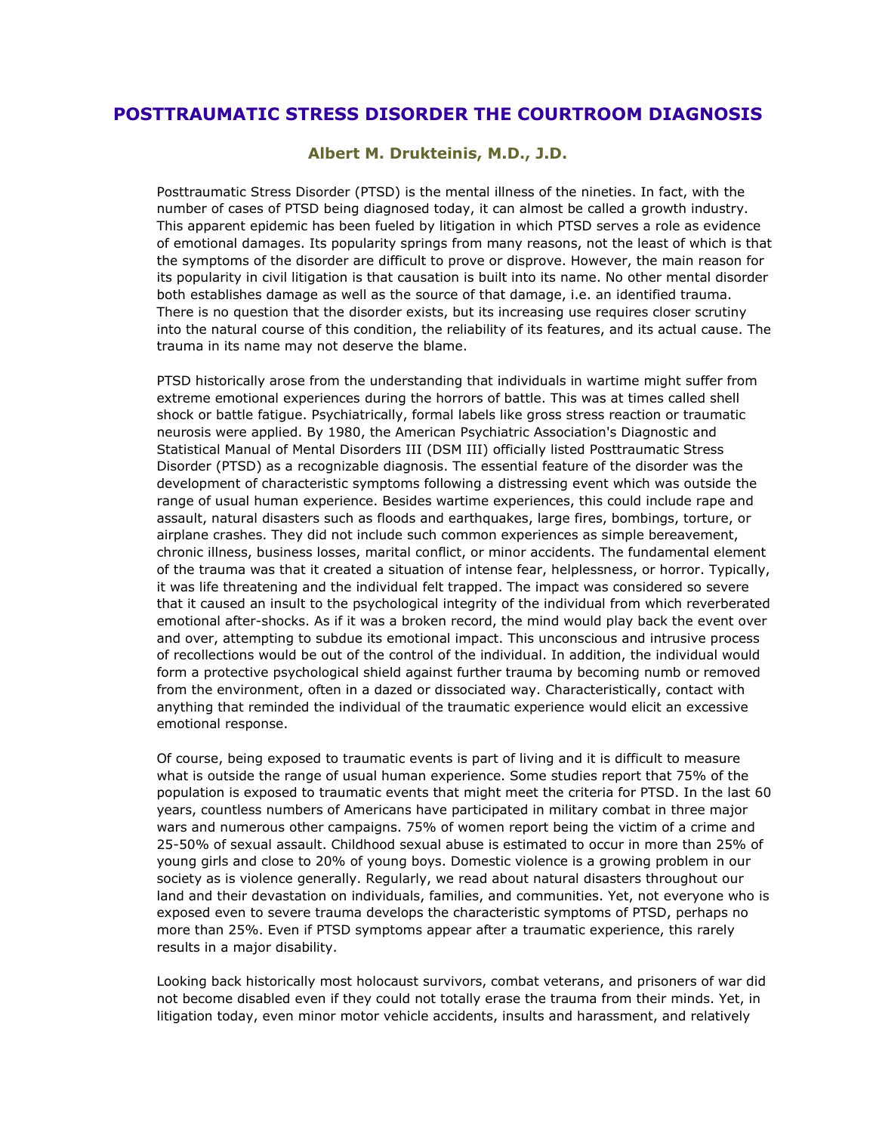## **POSTTRAUMATIC STRESS DISORDER THE COURTROOM DIAGNOSIS**

**Albert M. Drukteinis, M.D., J.D.**

Posttraumatic Stress Disorder (PTSD) is the mental illness of the nineties. In fact, with the number of cases of PTSD being diagnosed today, it can almost be called a growth industry. This apparent epidemic has been fueled by litigation in which PTSD serves a role as evidence of emotional damages. Its popularity springs from many reasons, not the least of which is that the symptoms of the disorder are difficult to prove or disprove. However, the main reason for its popularity in civil litigation is that causation is built into its name. No other mental disorder both establishes damage as well as the source of that damage, i.e. an identified trauma. There is no question that the disorder exists, but its increasing use requires closer scrutiny into the natural course of this condition, the reliability of its features, and its actual cause. The trauma in its name may not deserve the blame.

PTSD historically arose from the understanding that individuals in wartime might suffer from extreme emotional experiences during the horrors of battle. This was at times called shell shock or battle fatigue. Psychiatrically, formal labels like gross stress reaction or traumatic neurosis were applied. By 1980, the American Psychiatric Association's Diagnostic and Statistical Manual of Mental Disorders III (DSM III) officially listed Posttraumatic Stress Disorder (PTSD) as a recognizable diagnosis. The essential feature of the disorder was the development of characteristic symptoms following a distressing event which was outside the range of usual human experience. Besides wartime experiences, this could include rape and assault, natural disasters such as floods and earthquakes, large fires, bombings, torture, or airplane crashes. They did not include such common experiences as simple bereavement, chronic illness, business losses, marital conflict, or minor accidents. The fundamental element of the trauma was that it created a situation of intense fear, helplessness, or horror. Typically, it was life threatening and the individual felt trapped. The impact was considered so severe that it caused an insult to the psychological integrity of the individual from which reverberated emotional after-shocks. As if it was a broken record, the mind would play back the event over and over, attempting to subdue its emotional impact. This unconscious and intrusive process of recollections would be out of the control of the individual. In addition, the individual would form a protective psychological shield against further trauma by becoming numb or removed from the environment, often in a dazed or dissociated way. Characteristically, contact with anything that reminded the individual of the traumatic experience would elicit an excessive emotional response.

Of course, being exposed to traumatic events is part of living and it is difficult to measure what is outside the range of usual human experience. Some studies report that 75% of the population is exposed to traumatic events that might meet the criteria for PTSD. In the last 60 years, countless numbers of Americans have participated in military combat in three major wars and numerous other campaigns. 75% of women report being the victim of a crime and 25-50% of sexual assault. Childhood sexual abuse is estimated to occur in more than 25% of young girls and close to 20% of young boys. Domestic violence is a growing problem in our society as is violence generally. Regularly, we read about natural disasters throughout our land and their devastation on individuals, families, and communities. Yet, not everyone who is exposed even to severe trauma develops the characteristic symptoms of PTSD, perhaps no more than 25%. Even if PTSD symptoms appear after a traumatic experience, this rarely results in a major disability.

Looking back historically most holocaust survivors, combat veterans, and prisoners of war did not become disabled even if they could not totally erase the trauma from their minds. Yet, in litigation today, even minor motor vehicle accidents, insults and harassment, and relatively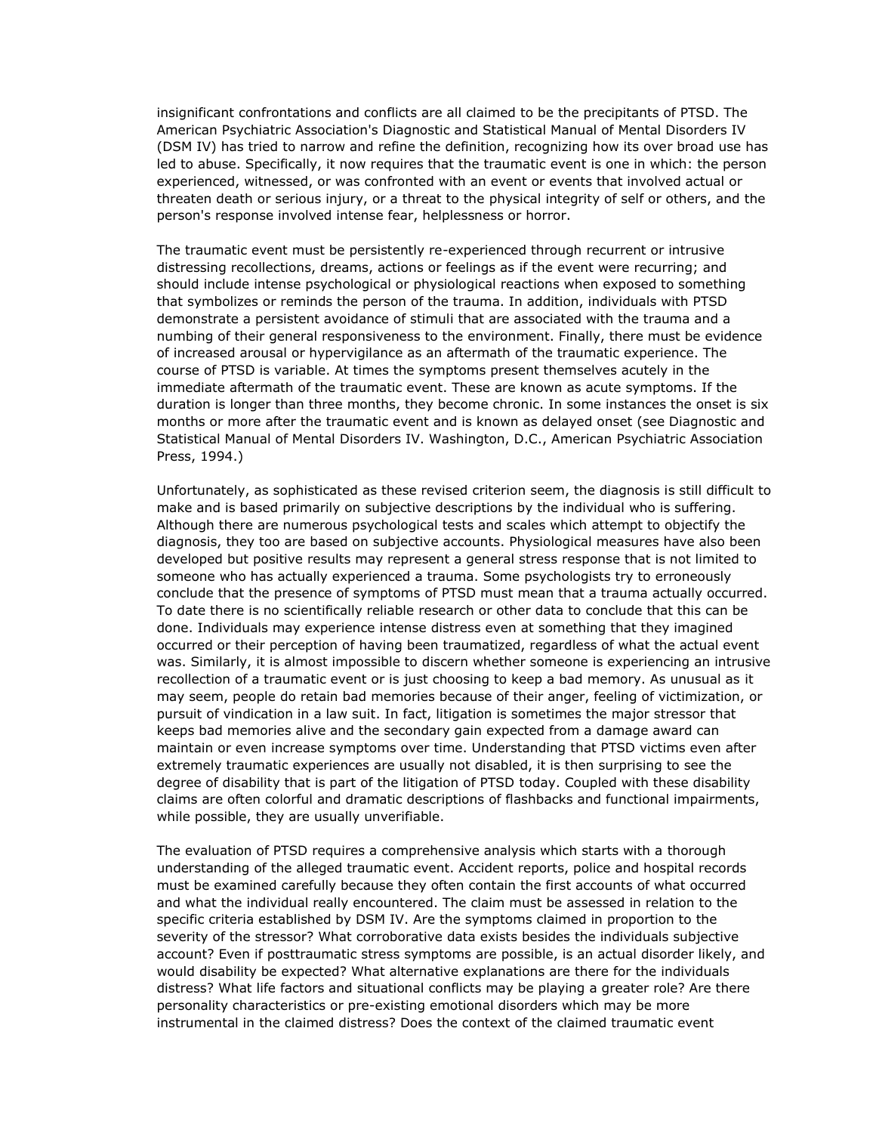insignificant confrontations and conflicts are all claimed to be the precipitants of PTSD. The American Psychiatric Association's Diagnostic and Statistical Manual of Mental Disorders IV (DSM IV) has tried to narrow and refine the definition, recognizing how its over broad use has led to abuse. Specifically, it now requires that the traumatic event is one in which: the person experienced, witnessed, or was confronted with an event or events that involved actual or threaten death or serious injury, or a threat to the physical integrity of self or others, and the person's response involved intense fear, helplessness or horror.

The traumatic event must be persistently re-experienced through recurrent or intrusive distressing recollections, dreams, actions or feelings as if the event were recurring; and should include intense psychological or physiological reactions when exposed to something that symbolizes or reminds the person of the trauma. In addition, individuals with PTSD demonstrate a persistent avoidance of stimuli that are associated with the trauma and a numbing of their general responsiveness to the environment. Finally, there must be evidence of increased arousal or hypervigilance as an aftermath of the traumatic experience. The course of PTSD is variable. At times the symptoms present themselves acutely in the immediate aftermath of the traumatic event. These are known as acute symptoms. If the duration is longer than three months, they become chronic. In some instances the onset is six months or more after the traumatic event and is known as delayed onset (see Diagnostic and Statistical Manual of Mental Disorders IV. Washington, D.C., American Psychiatric Association Press, 1994.)

Unfortunately, as sophisticated as these revised criterion seem, the diagnosis is still difficult to make and is based primarily on subjective descriptions by the individual who is suffering. Although there are numerous psychological tests and scales which attempt to objectify the diagnosis, they too are based on subjective accounts. Physiological measures have also been developed but positive results may represent a general stress response that is not limited to someone who has actually experienced a trauma. Some psychologists try to erroneously conclude that the presence of symptoms of PTSD must mean that a trauma actually occurred. To date there is no scientifically reliable research or other data to conclude that this can be done. Individuals may experience intense distress even at something that they imagined occurred or their perception of having been traumatized, regardless of what the actual event was. Similarly, it is almost impossible to discern whether someone is experiencing an intrusive recollection of a traumatic event or is just choosing to keep a bad memory. As unusual as it may seem, people do retain bad memories because of their anger, feeling of victimization, or pursuit of vindication in a law suit. In fact, litigation is sometimes the major stressor that keeps bad memories alive and the secondary gain expected from a damage award can maintain or even increase symptoms over time. Understanding that PTSD victims even after extremely traumatic experiences are usually not disabled, it is then surprising to see the degree of disability that is part of the litigation of PTSD today. Coupled with these disability claims are often colorful and dramatic descriptions of flashbacks and functional impairments, while possible, they are usually unverifiable.

The evaluation of PTSD requires a comprehensive analysis which starts with a thorough understanding of the alleged traumatic event. Accident reports, police and hospital records must be examined carefully because they often contain the first accounts of what occurred and what the individual really encountered. The claim must be assessed in relation to the specific criteria established by DSM IV. Are the symptoms claimed in proportion to the severity of the stressor? What corroborative data exists besides the individuals subjective account? Even if posttraumatic stress symptoms are possible, is an actual disorder likely, and would disability be expected? What alternative explanations are there for the individuals distress? What life factors and situational conflicts may be playing a greater role? Are there personality characteristics or pre-existing emotional disorders which may be more instrumental in the claimed distress? Does the context of the claimed traumatic event